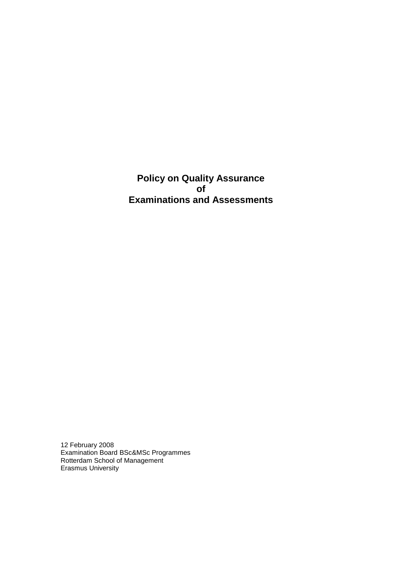**Policy on Quality Assurance of Examinations and Assessments**

12 February 2008 Examination Board BSc&MSc Programmes Rotterdam School of Management Erasmus University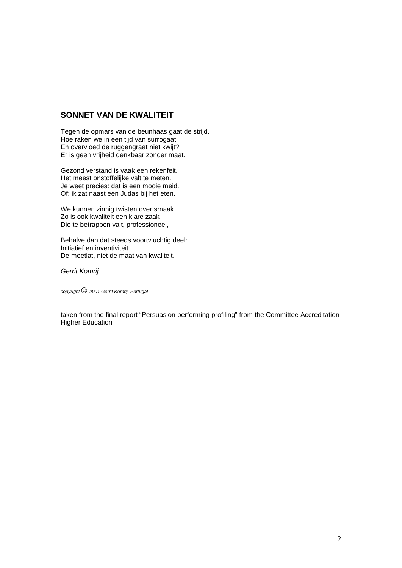# **SONNET VAN DE KWALITEIT**

Tegen de opmars van de beunhaas gaat de strijd. Hoe raken we in een tijd van surrogaat En overvloed de ruggengraat niet kwijt? Er is geen vrijheid denkbaar zonder maat.

Gezond verstand is vaak een rekenfeit. Het meest onstoffelijke valt te meten. Je weet precies: dat is een mooie meid. Of: ik zat naast een Judas bij het eten.

We kunnen zinnig twisten over smaak. Zo is ook kwaliteit een klare zaak Die te betrappen valt, professioneel,

Behalve dan dat steeds voortvluchtig deel: Initiatief en inventiviteit De meetlat, niet de maat van kwaliteit.

*Gerrit Komrij*

*copyright © 2001 Gerrit Komrij, Portugal*

taken from the final report "Persuasion performing profiling" from the Committee Accreditation Higher Education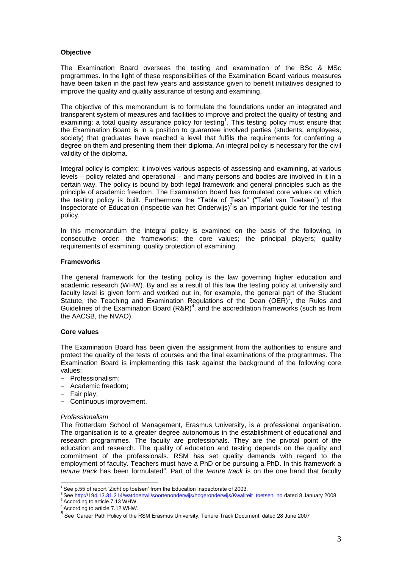# **Objective**

The Examination Board oversees the testing and examination of the BSc & MSc programmes. In the light of these responsibilities of the Examination Board various measures have been taken in the past few years and assistance given to benefit initiatives designed to improve the quality and quality assurance of testing and examining.

The objective of this memorandum is to formulate the foundations under an integrated and transparent system of measures and facilities to improve and protect the quality of testing and examining: a total quality assurance policy for testing<sup>1</sup>. This testing policy must ensure that the Examination Board is in a position to guarantee involved parties (students, employees, society) that graduates have reached a level that fulfils the requirements for conferring a degree on them and presenting them their diploma. An integral policy is necessary for the civil validity of the diploma.

Integral policy is complex: it involves various aspects of assessing and examining, at various levels – policy related and operational – and many persons and bodies are involved in it in a certain way. The policy is bound by both legal framework and general principles such as the principle of academic freedom. The Examination Board has formulated core values on which the testing policy is built. Furthermore the "Table of Tests" ("Tafel van Toetsen") of the Inspectorate of Education (Inspectie van het Onderwijs)<sup>2</sup>is an important guide for the testing policy.

In this memorandum the integral policy is examined on the basis of the following, in consecutive order: the frameworks; the core values; the principal players; quality requirements of examining; quality protection of examining.

# **Frameworks**

The general framework for the testing policy is the law governing higher education and academic research (WHW). By and as a result of this law the testing policy at university and faculty level is given form and worked out in, for example, the general part of the Student Statute, the Teaching and Examination Regulations of the Dean (OER)<sup>3</sup>, the Rules and Guidelines of the Examination Board  $(R\&R)^4$ , and the accreditation frameworks (such as from the AACSB, the NVAO).

#### **Core values**

The Examination Board has been given the assignment from the authorities to ensure and protect the quality of the tests of courses and the final examinations of the programmes. The Examination Board is implementing this task against the background of the following core values:

- Professionalism;
- Academic freedom;
- Fair play;
- Continuous improvement.

#### *Professionalism*

The Rotterdam School of Management, Erasmus University, is a professional organisation. The organisation is to a greater degree autonomous in the establishment of educational and research programmes. The faculty are professionals. They are the pivotal point of the education and research. The quality of education and testing depends on the quality and commitment of the professionals. RSM has set quality demands with regard to the employment of faculty. Teachers must have a PhD or be pursuing a PhD. In this framework a tenure track has been formulated<sup>5</sup>. Part of the *tenure track* is on the one hand that faculty

 $\overline{a}$  $1$  See p.55 of report 'Zicht op toetsen' from the Education Inspectorate of 2003.

<sup>2</sup> Se[e http://194.13.31.214/watdoenwij/soortenonderwijs/hogeronderwijs/Kwaliteit\\_toetsen\\_ho](http://194.13.31.214/watdoenwij/soortenonderwijs/hogeronderwijs/Kwaliteit_toetsen_ho) dated 8 January 2008. <sup>3</sup> According to article 7.13 WHW.

<sup>4</sup> According to article 7.12 WHW.

<sup>&</sup>lt;sup>5</sup> See 'Career Path Policy of the RSM Erasmus University: Tenure Track Document' dated 28 June 2007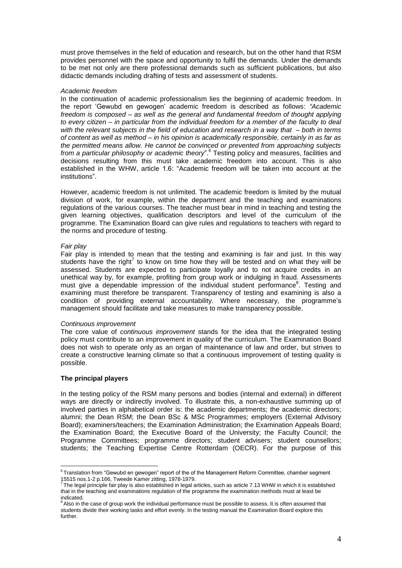must prove themselves in the field of education and research, but on the other hand that RSM provides personnel with the space and opportunity to fulfil the demands. Under the demands to be met not only are there professional demands such as sufficient publications, but also didactic demands including drafting of tests and assessment of students.

#### *Academic freedom*

In the continuation of academic professionalism lies the beginning of academic freedom. In the report 'Gewubd en gewogen' academic freedom is described as follows: *"Academic freedom is composed – as well as the general and fundamental freedom of thought applying to every citizen – in particular from the individual freedom for a member of the faculty to deal with the relevant subjects in the field of education and research in a way that – both in terms of content as well as method – in his opinion is academically responsible, certainly in as far as the permitted means allow. He cannot be convinced or prevented from approaching subjects from a particular philosophy or academic theory*".<sup>6</sup> Testing policy and measures, facilities and decisions resulting from this must take academic freedom into account. This is also established in the WHW, article 1.6: "Academic freedom will be taken into account at the institutions".

However, academic freedom is not unlimited. The academic freedom is limited by the mutual division of work, for example, within the department and the teaching and examinations regulations of the various courses. The teacher must bear in mind in teaching and testing the given learning objectives, qualification descriptors and level of the curriculum of the programme. The Examination Board can give rules and regulations to teachers with regard to the norms and procedure of testing.

#### *Fair play*

Fair play is intended to mean that the testing and examining is fair and just. In this way students have the right<sup>7</sup> to know on time how they will be tested and on what they will be assessed. Students are expected to participate loyally and to not acquire credits in an unethical way by, for example, profiting from group work or indulging in fraud. Assessments must give a dependable impression of the individual student performance<sup>8</sup>. Testing and examining must therefore be transparent. Transparency of testing and examining is also a condition of providing external accountability. Where necessary, the programme's management should facilitate and take measures to make transparency possible.

#### *Continuous improvement*

The core value of *continuous improvement* stands for the idea that the integrated testing policy must contribute to an improvement in quality of the curriculum. The Examination Board does not wish to operate only as an organ of maintenance of law and order, but strives to create a constructive learning climate so that a continuous improvement of testing quality is possible.

#### **The principal players**

In the testing policy of the RSM many persons and bodies (internal and external) in different ways are directly or indirectly involved. To illustrate this, a non-exhaustive summing up of involved parties in alphabetical order is: the academic departments; the academic directors; alumni; the Dean RSM; the Dean BSc & MSc Programmes; employers (External Advisory Board); examiners/teachers; the Examination Administration; the Examination Appeals Board; the Examination Board; the Executive Board of the University; the Faculty Council; the Programme Committees; programme directors; student advisers; student counsellors; students; the Teaching Expertise Centre Rotterdam (OECR). For the purpose of this

 6 Translation from "Gewubd en gewogen" report of the of the Management Reform Committee, chamber segment

<sup>15515</sup> nos.1-2 p.166, Tweede Kamer zitting, 1978-1979.<br><sup>7</sup> The legal principle fair play is also established in legal articles, such as article 7.13 WHW in which it is established that in the teaching and examinations regulation of the programme the examination methods must at least be indicated.

<sup>&</sup>lt;sup>8</sup> Also in the case of group work the individual performance must be possible to assess. It is often assumed that students divide their working tasks and effort evenly. In the testing manual the Examination Board explore this further.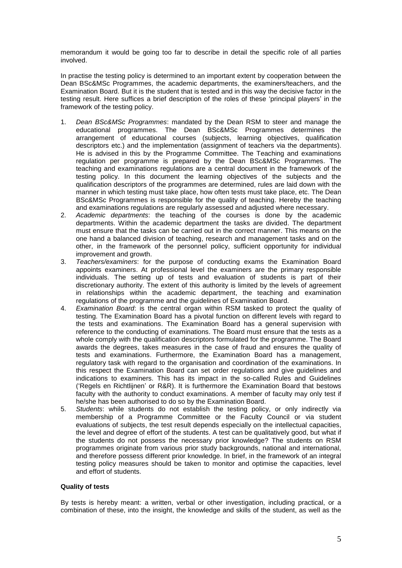memorandum it would be going too far to describe in detail the specific role of all parties involved.

In practise the testing policy is determined to an important extent by cooperation between the Dean BSc&MSc Programmes, the academic departments, the examiners/teachers, and the Examination Board. But it is the student that is tested and in this way the decisive factor in the testing result. Here suffices a brief description of the roles of these 'principal players' in the framework of the testing policy.

- 1. *Dean BSc&MSc Programmes*: mandated by the Dean RSM to steer and manage the educational programmes. The Dean BSc&MSc Programmes determines the arrangement of educational courses (subjects, learning objectives, qualification descriptors etc.) and the implementation (assignment of teachers via the departments). He is advised in this by the Programme Committee. The Teaching and examinations regulation per programme is prepared by the Dean BSc&MSc Programmes. The teaching and examinations regulations are a central document in the framework of the testing policy. In this document the learning objectives of the subjects and the qualification descriptors of the programmes are determined, rules are laid down with the manner in which testing must take place, how often tests must take place, etc. The Dean BSc&MSc Programmes is responsible for the quality of teaching. Hereby the teaching and examinations regulations are regularly assessed and adjusted where necessary.
- 2. *Academic departments*: the teaching of the courses is done by the academic departments. Within the academic department the tasks are divided. The department must ensure that the tasks can be carried out in the correct manner. This means on the one hand a balanced division of teaching, research and management tasks and on the other, in the framework of the personnel policy, sufficient opportunity for individual improvement and growth.
- 3. *Teachers/examiners*: for the purpose of conducting exams the Examination Board appoints examiners. At professional level the examiners are the primary responsible individuals. The setting up of tests and evaluation of students is part of their discretionary authority. The extent of this authority is limited by the levels of agreement in relationships within the academic department, the teaching and examination regulations of the programme and the guidelines of Examination Board.
- 4. *Examination Board*: is the central organ within RSM tasked to protect the quality of testing. The Examination Board has a pivotal function on different levels with regard to the tests and examinations. The Examination Board has a general supervision with reference to the conducting of examinations. The Board must ensure that the tests as a whole comply with the qualification descriptors formulated for the programme. The Board awards the degrees, takes measures in the case of fraud and ensures the quality of tests and examinations. Furthermore, the Examination Board has a management, regulatory task with regard to the organisation and coordination of the examinations. In this respect the Examination Board can set order regulations and give guidelines and indications to examiners. This has its impact in the so-called Rules and Guidelines ('Regels en Richtlijnen' or R&R). It is furthermore the Examination Board that bestows faculty with the authority to conduct examinations. A member of faculty may only test if he/she has been authorised to do so by the Examination Board.
- 5. *Students*: while students do not establish the testing policy, or only indirectly via membership of a Programme Committee or the Faculty Council or via student evaluations of subjects, the test result depends especially on the intellectual capacities, the level and degree of effort of the students. A test can be qualitatively good, but what if the students do not possess the necessary prior knowledge? The students on RSM programmes originate from various prior study backgrounds, national and international, and therefore possess different prior knowledge. In brief, in the framework of an integral testing policy measures should be taken to monitor and optimise the capacities, level and effort of students.

#### **Quality of tests**

By tests is hereby meant: a written, verbal or other investigation, including practical, or a combination of these, into the insight, the knowledge and skills of the student, as well as the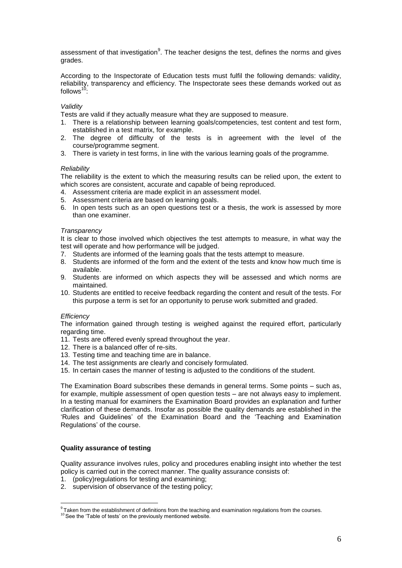assessment of that investigation<sup>9</sup>. The teacher designs the test, defines the norms and gives grades.

According to the Inspectorate of Education tests must fulfil the following demands: validity, reliability, transparency and efficiency. The Inspectorate sees these demands worked out as follows $<sup>1</sup>$ </sup>

# *Validity*

Tests are valid if they actually measure what they are supposed to measure.

- 1. There is a relationship between learning goals/competencies, test content and test form, established in a test matrix, for example.
- 2. The degree of difficulty of the tests is in agreement with the level of the course/programme segment.
- 3. There is variety in test forms, in line with the various learning goals of the programme.

# *Reliability*

The reliability is the extent to which the measuring results can be relied upon, the extent to which scores are consistent, accurate and capable of being reproduced.

- 4. Assessment criteria are made explicit in an assessment model.
- 5. Assessment criteria are based on learning goals.
- 6. In open tests such as an open questions test or a thesis, the work is assessed by more than one examiner.

#### *Transparency*

It is clear to those involved which objectives the test attempts to measure, in what way the test will operate and how performance will be judged.

- 7. Students are informed of the learning goals that the tests attempt to measure.
- 8. Students are informed of the form and the extent of the tests and know how much time is available.
- 9. Students are informed on which aspects they will be assessed and which norms are maintained.
- 10. Students are entitled to receive feedback regarding the content and result of the tests. For this purpose a term is set for an opportunity to peruse work submitted and graded.

#### *Efficiency*

The information gained through testing is weighed against the required effort, particularly regarding time.

- 11. Tests are offered evenly spread throughout the year.
- 12. There is a balanced offer of re-sits.
- 13. Testing time and teaching time are in balance.
- 14. The test assignments are clearly and concisely formulated.
- 15. In certain cases the manner of testing is adjusted to the conditions of the student.

The Examination Board subscribes these demands in general terms. Some points – such as, for example, multiple assessment of open question tests – are not always easy to implement. In a testing manual for examiners the Examination Board provides an explanation and further clarification of these demands. Insofar as possible the quality demands are established in the 'Rules and Guidelines' of the Examination Board and the 'Teaching and Examination Regulations' of the course.

# **Quality assurance of testing**

Quality assurance involves rules, policy and procedures enabling insight into whether the test policy is carried out in the correct manner. The quality assurance consists of:

- 1. (policy)regulations for testing and examining;
- 2. supervision of observance of the testing policy;

 9 Taken from the establishment of definitions from the teaching and examination regulations from the courses.

 $10$  See the 'Table of tests' on the previously mentioned website.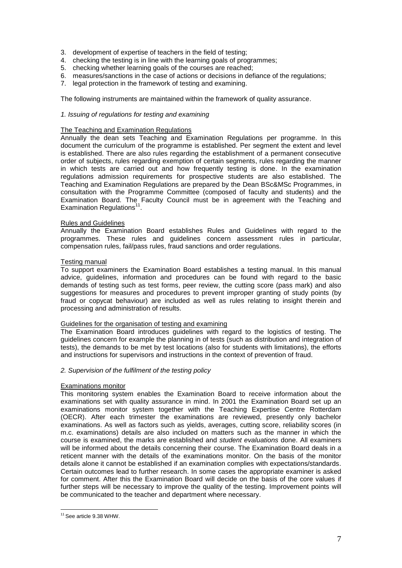- 3. development of expertise of teachers in the field of testing;
- 4. checking the testing is in line with the learning goals of programmes;
- 5. checking whether learning goals of the courses are reached;
- 6. measures/sanctions in the case of actions or decisions in defiance of the regulations;
- 7. legal protection in the framework of testing and examining.

The following instruments are maintained within the framework of quality assurance.

# *1. Issuing of regulations for testing and examining*

# The Teaching and Examination Regulations

Annually the dean sets Teaching and Examination Regulations per programme. In this document the curriculum of the programme is established. Per segment the extent and level is established. There are also rules regarding the establishment of a permanent consecutive order of subjects, rules regarding exemption of certain segments, rules regarding the manner in which tests are carried out and how frequently testing is done. In the examination regulations admission requirements for prospective students are also established. The Teaching and Examination Regulations are prepared by the Dean BSc&MSc Programmes, in consultation with the Programme Committee (composed of faculty and students) and the Examination Board. The Faculty Council must be in agreement with the Teaching and Examination Regulations<sup>11</sup>.

# Rules and Guidelines

Annually the Examination Board establishes Rules and Guidelines with regard to the programmes. These rules and guidelines concern assessment rules in particular, compensation rules, fail/pass rules, fraud sanctions and order regulations.

# Testing manual

To support examiners the Examination Board establishes a testing manual. In this manual advice, guidelines, information and procedures can be found with regard to the basic demands of testing such as test forms, peer review, the cutting score (pass mark) and also suggestions for measures and procedures to prevent improper granting of study points (by fraud or copycat behaviour) are included as well as rules relating to insight therein and processing and administration of results.

#### Guidelines for the organisation of testing and examining

The Examination Board introduces guidelines with regard to the logistics of testing. The guidelines concern for example the planning in of tests (such as distribution and integration of tests), the demands to be met by test locations (also for students with limitations), the efforts and instructions for supervisors and instructions in the context of prevention of fraud.

#### *2. Supervision of the fulfilment of the testing policy*

#### Examinations monitor

This monitoring system enables the Examination Board to receive information about the examinations set with quality assurance in mind. In 2001 the Examination Board set up an examinations monitor system together with the Teaching Expertise Centre Rotterdam (OECR). After each trimester the examinations are reviewed, presently only bachelor examinations. As well as factors such as yields, averages, cutting score, reliability scores (in m.c. examinations) details are also included on matters such as the manner in which the course is examined, the marks are established and *student evaluations* done. All examiners will be informed about the details concerning their course. The Examination Board deals in a reticent manner with the details of the examinations monitor. On the basis of the monitor details alone it cannot be established if an examination complies with expectations/standards. Certain outcomes lead to further research. In some cases the appropriate examiner is asked for comment. After this the Examination Board will decide on the basis of the core values if further steps will be necessary to improve the quality of the testing. Improvement points will be communicated to the teacher and department where necessary.

 $\overline{a}$ <sup>11</sup> See article 9.38 WHW.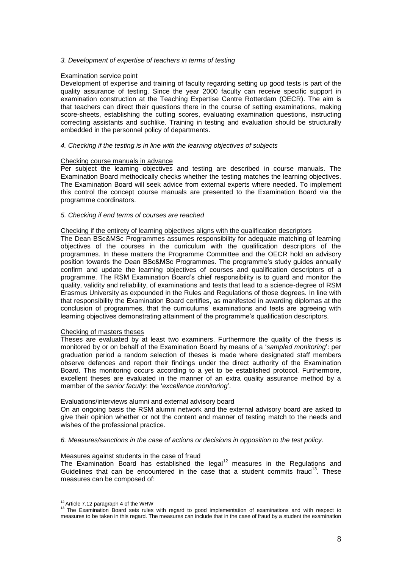# *3. Development of expertise of teachers in terms of testing*

# Examination service point

Development of expertise and training of faculty regarding setting up good tests is part of the quality assurance of testing. Since the year 2000 faculty can receive specific support in examination construction at the Teaching Expertise Centre Rotterdam (OECR). The aim is that teachers can direct their questions there in the course of setting examinations, making score-sheets, establishing the cutting scores, evaluating examination questions, instructing correcting assistants and suchlike. Training in testing and evaluation should be structurally embedded in the personnel policy of departments.

# *4. Checking if the testing is in line with the learning objectives of subjects*

#### Checking course manuals in advance

Per subject the learning objectives and testing are described in course manuals. The Examination Board methodically checks whether the testing matches the learning objectives. The Examination Board will seek advice from external experts where needed. To implement this control the concept course manuals are presented to the Examination Board via the programme coordinators.

#### *5. Checking if end terms of courses are reached*

#### Checking if the entirety of learning objectives aligns with the qualification descriptors

The Dean BSc&MSc Programmes assumes responsibility for adequate matching of learning objectives of the courses in the curriculum with the qualification descriptors of the programmes. In these matters the Programme Committee and the OECR hold an advisory position towards the Dean BSc&MSc Programmes. The programme's study guides annually confirm and update the learning objectives of courses and qualification descriptors of a programme. The RSM Examination Board's chief responsibility is to guard and monitor the quality, validity and reliability, of examinations and tests that lead to a science-degree of RSM Erasmus University as expounded in the Rules and Regulations of those degrees. In line with that responsibility the Examination Board certifies, as manifested in awarding diplomas at the conclusion of programmes, that the curriculums' examinations and tests are agreeing with learning objectives demonstrating attainment of the programme's qualification descriptors.

# Checking of masters theses

Theses are evaluated by at least two examiners. Furthermore the quality of the thesis is monitored by or on behalf of the Examination Board by means of a '*sampled monitoring*': per graduation period a random selection of theses is made where designated staff members observe defences and report their findings under the direct authority of the Examination Board. This monitoring occurs according to a yet to be established protocol. Furthermore, excellent theses are evaluated in the manner of an extra quality assurance method by a member of the *senior faculty*: the '*excellence monitoring*'.

#### Evaluations/interviews alumni and external advisory board

On an ongoing basis the RSM alumni network and the external advisory board are asked to give their opinion whether or not the content and manner of testing match to the needs and wishes of the professional practice.

*6. Measures/sanctions in the case of actions or decisions in opposition to the test policy.*

#### Measures against students in the case of fraud

The Examination Board has established the legal<sup>12</sup> measures in the Regulations and Guidelines that can be encountered in the case that a student commits fraud<sup>13</sup>. These measures can be composed of:

<sup>&</sup>lt;sup>12</sup> Article 7.12 paragraph 4 of the WHW

<sup>&</sup>lt;sup>13</sup> The Examination Board sets rules with regard to good implementation of examinations and with respect to measures to be taken in this regard. The measures can include that in the case of fraud by a student the examination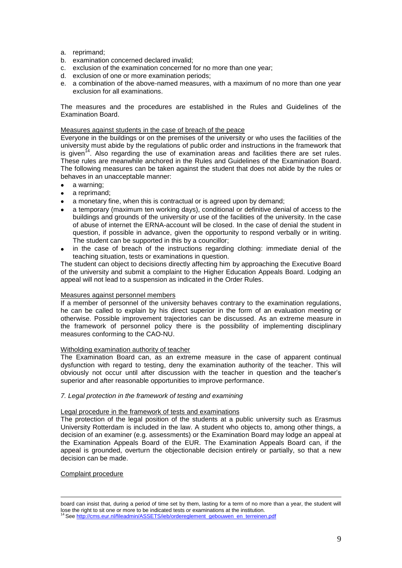- a. reprimand;
- b. examination concerned declared invalid;
- c. exclusion of the examination concerned for no more than one year;
- d. exclusion of one or more examination periods;
- e. a combination of the above-named measures, with a maximum of no more than one year exclusion for all examinations.

The measures and the procedures are established in the Rules and Guidelines of the Examination Board.

#### Measures against students in the case of breach of the peace

Everyone in the buildings or on the premises of the university or who uses the facilities of the university must abide by the regulations of public order and instructions in the framework that is given<sup>14</sup>. Also regarding the use of examination areas and facilities there are set rules. These rules are meanwhile anchored in the Rules and Guidelines of the Examination Board. The following measures can be taken against the student that does not abide by the rules or behaves in an unacceptable manner:

- a warning;  $\bullet$
- a reprimand;
- a monetary fine, when this is contractual or is agreed upon by demand;
- a temporary (maximum ten working days), conditional or definitive denial of access to the buildings and grounds of the university or use of the facilities of the university. In the case of abuse of internet the ERNA-account will be closed. In the case of denial the student in question, if possible in advance, given the opportunity to respond verbally or in writing. The student can be supported in this by a councillor;
- in the case of breach of the instructions regarding clothing: immediate denial of the teaching situation, tests or examinations in question.

The student can object to decisions directly affecting him by approaching the Executive Board of the university and submit a complaint to the Higher Education Appeals Board. Lodging an appeal will not lead to a suspension as indicated in the Order Rules.

#### Measures against personnel members

If a member of personnel of the university behaves contrary to the examination regulations, he can be called to explain by his direct superior in the form of an evaluation meeting or otherwise. Possible improvement trajectories can be discussed. As an extreme measure in the framework of personnel policy there is the possibility of implementing disciplinary measures conforming to the CAO-NU.

#### Witholding examination authority of teacher

The Examination Board can, as an extreme measure in the case of apparent continual dysfunction with regard to testing, deny the examination authority of the teacher. This will obviously not occur until after discussion with the teacher in question and the teacher's superior and after reasonable opportunities to improve performance.

#### *7. Legal protection in the framework of testing and examining*

#### Legal procedure in the framework of tests and examinations

The protection of the legal position of the students at a public university such as Erasmus University Rotterdam is included in the law. A student who objects to, among other things, a decision of an examiner (e.g. assessments) or the Examination Board may lodge an appeal at the Examination Appeals Board of the EUR. The Examination Appeals Board can, if the appeal is grounded, overturn the objectionable decision entirely or partially, so that a new decision can be made.

# Complaint procedure

 $\overline{a}$ 

board can insist that, during a period of time set by them, lasting for a term of no more than a year, the student will lose the right to sit one or more to be indicated tests or examinations at the institution.

<sup>&</sup>lt;sup>4</sup>Se[e http://cms.eur.nl/fileadmin/ASSETS/ieb/ordereglement\\_gebouwen\\_en\\_terreinen.pdf](http://cms.eur.nl/fileadmin/ASSETS/ieb/ordereglement_gebouwen_en_terreinen.pdf)